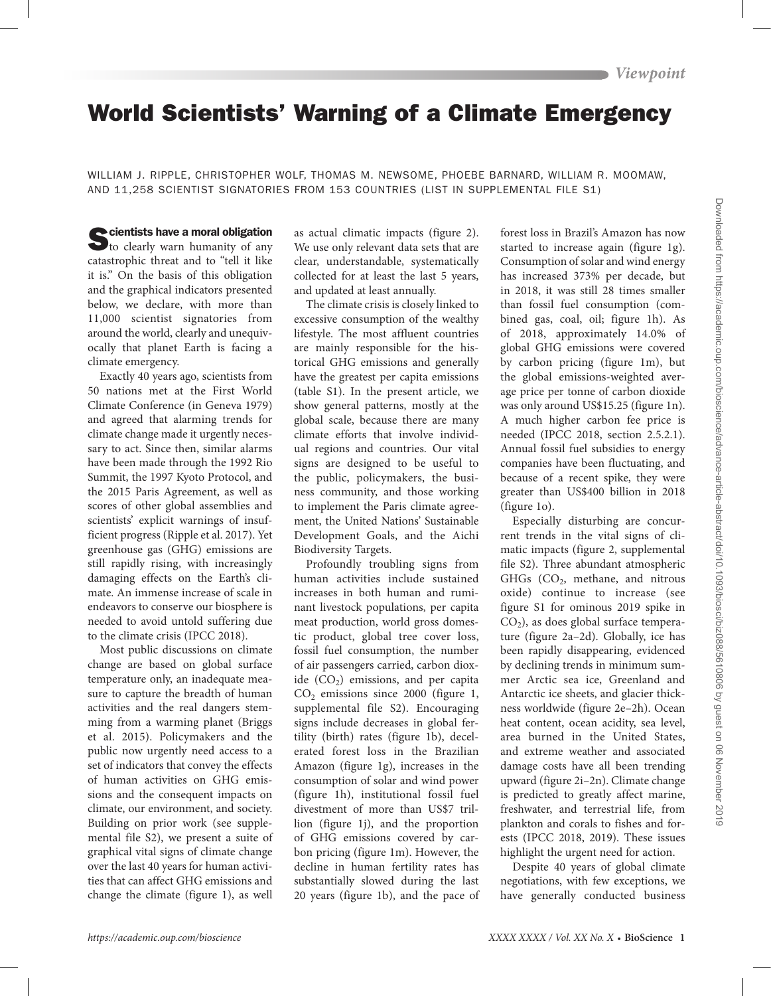# World Scientists' Warning of a Climate Emergency

WILLIAM J. RIPPLE, CHRISTOPHER WOLF, THOMAS M. NEWSOME, PHOEBE BARNARD, WILLIAM R. MOOMAW, AND 11,258 SCIENTIST SIGNATORIES FROM 153 COUNTRIES (LIST IN SUPPLEMENTAL FILE S1)

Scientists have a moral obligation<br>to clearly warn humanity of any catastrophic threat and to "tell it like it is." On the basis of this obligation and the graphical indicators presented below, we declare, with more than 11,000 scientist signatories from around the world, clearly and unequivocally that planet Earth is facing a climate emergency.

Exactly 40 years ago, scientists from 50 nations met at the First World Climate Conference (in Geneva 1979) and agreed that alarming trends for climate change made it urgently necessary to act. Since then, similar alarms have been made through the 1992 Rio Summit, the 1997 Kyoto Protocol, and the 2015 Paris Agreement, as well as scores of other global assemblies and scientists' explicit warnings of insufficient progress (Ripple et al. 2017). Yet greenhouse gas (GHG) emissions are still rapidly rising, with increasingly damaging effects on the Earth's climate. An immense increase of scale in endeavors to conserve our biosphere is needed to avoid untold suffering due to the climate crisis (IPCC 2018).

Most public discussions on climate change are based on global surface temperature only, an inadequate measure to capture the breadth of human activities and the real dangers stemming from a warming planet (Briggs et al. 2015). Policymakers and the public now urgently need access to a set of indicators that convey the effects of human activities on GHG emissions and the consequent impacts on climate, our environment, and society. Building on prior work (see supplemental file S2), we present a suite of graphical vital signs of climate change over the last 40 years for human activities that can affect GHG emissions and change the climate (figure 1), as well

as actual climatic impacts (figure 2). We use only relevant data sets that are clear, understandable, systematically collected for at least the last 5 years, and updated at least annually.

The climate crisis is closely linked to excessive consumption of the wealthy lifestyle. The most affluent countries are mainly responsible for the historical GHG emissions and generally have the greatest per capita emissions (table S1). In the present article, we show general patterns, mostly at the global scale, because there are many climate efforts that involve individual regions and countries. Our vital signs are designed to be useful to the public, policymakers, the business community, and those working to implement the Paris climate agreement, the United Nations' Sustainable Development Goals, and the Aichi Biodiversity Targets.

Profoundly troubling signs from human activities include sustained increases in both human and ruminant livestock populations, per capita meat production, world gross domestic product, global tree cover loss, fossil fuel consumption, the number of air passengers carried, carbon dioxide  $(CO<sub>2</sub>)$  emissions, and per capita  $CO<sub>2</sub>$  emissions since 2000 (figure 1, supplemental file S2). Encouraging signs include decreases in global fertility (birth) rates (figure 1b), decelerated forest loss in the Brazilian Amazon (figure 1g), increases in the consumption of solar and wind power (figure 1h), institutional fossil fuel divestment of more than US\$7 trillion (figure 1j), and the proportion of GHG emissions covered by carbon pricing (figure 1m). However, the decline in human fertility rates has substantially slowed during the last 20 years (figure 1b), and the pace of forest loss in Brazil's Amazon has now started to increase again (figure 1g). Consumption of solar and wind energy has increased 373% per decade, but in 2018, it was still 28 times smaller than fossil fuel consumption (combined gas, coal, oil; figure 1h). As of 2018, approximately 14.0% of global GHG emissions were covered by carbon pricing (figure 1m), but the global emissions-weighted average price per tonne of carbon dioxide was only around US\$15.25 (figure 1n). A much higher carbon fee price is needed (IPCC 2018, section 2.5.2.1). Annual fossil fuel subsidies to energy companies have been fluctuating, and because of a recent spike, they were greater than US\$400 billion in 2018 (figure 1o).

Especially disturbing are concurrent trends in the vital signs of climatic impacts (figure 2, supplemental file S2). Three abundant atmospheric GHGs  $(CO<sub>2</sub>)$ , methane, and nitrous oxide) continue to increase (see figure S1 for ominous 2019 spike in  $CO<sub>2</sub>$ ), as does global surface temperature (figure 2a–2d). Globally, ice has been rapidly disappearing, evidenced by declining trends in minimum summer Arctic sea ice, Greenland and Antarctic ice sheets, and glacier thickness worldwide (figure 2e–2h). Ocean heat content, ocean acidity, sea level, area burned in the United States, and extreme weather and associated damage costs have all been trending upward (figure 2i–2n). Climate change is predicted to greatly affect marine, freshwater, and terrestrial life, from plankton and corals to fishes and forests (IPCC 2018, 2019). These issues highlight the urgent need for action.

Despite 40 years of global climate negotiations, with few exceptions, we have generally conducted business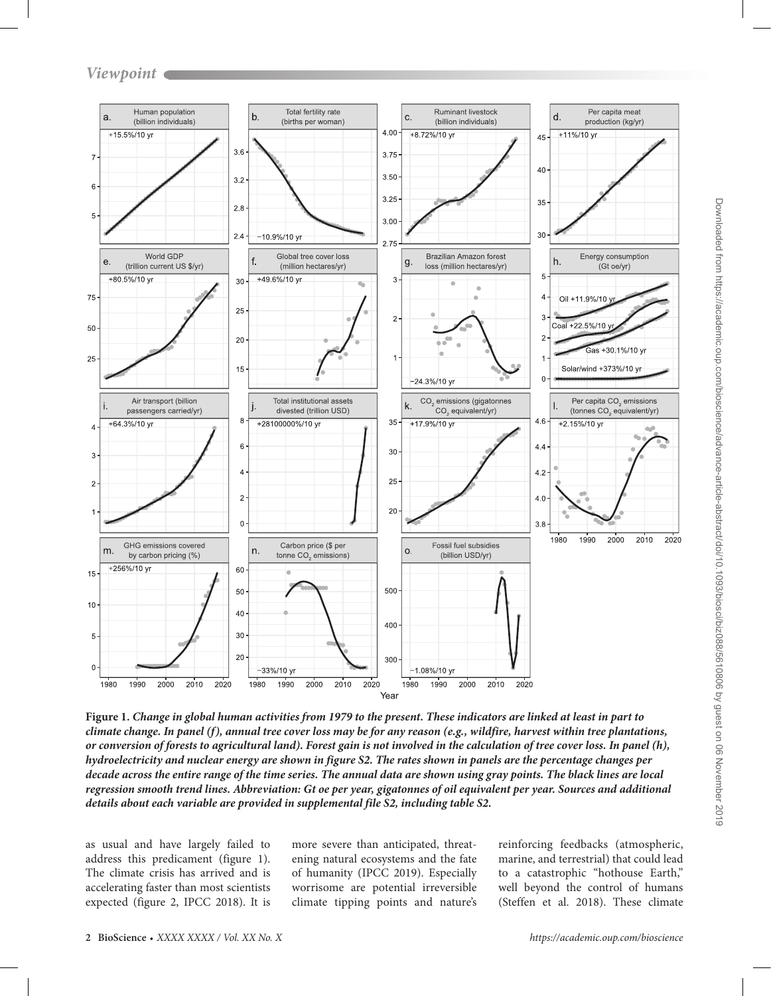

**Figure 1.** *Change in global human activities from 1979 to the present. These indicators are linked at least in part to climate change. In panel (f), annual tree cover loss may be for any reason (e.g., wildfire, harvest within tree plantations, or conversion of forests to agricultural land). Forest gain is not involved in the calculation of tree cover loss. In panel (h), hydroelectricity and nuclear energy are shown in figure S2. The rates shown in panels are the percentage changes per decade across the entire range of the time series. The annual data are shown using gray points. The black lines are local regression smooth trend lines. Abbreviation: Gt oe per year, gigatonnes of oil equivalent per year. Sources and additional details about each variable are provided in supplemental file S2, including table S2.*

as usual and have largely failed to address this predicament (figure 1). The climate crisis has arrived and is accelerating faster than most scientists expected (figure 2, IPCC 2018). It is

more severe than anticipated, threatening natural ecosystems and the fate of humanity (IPCC 2019). Especially worrisome are potential irreversible climate tipping points and nature's

reinforcing feedbacks (atmospheric, marine, and terrestrial) that could lead to a catastrophic "hothouse Earth," well beyond the control of humans (Steffen et al. 2018). These climate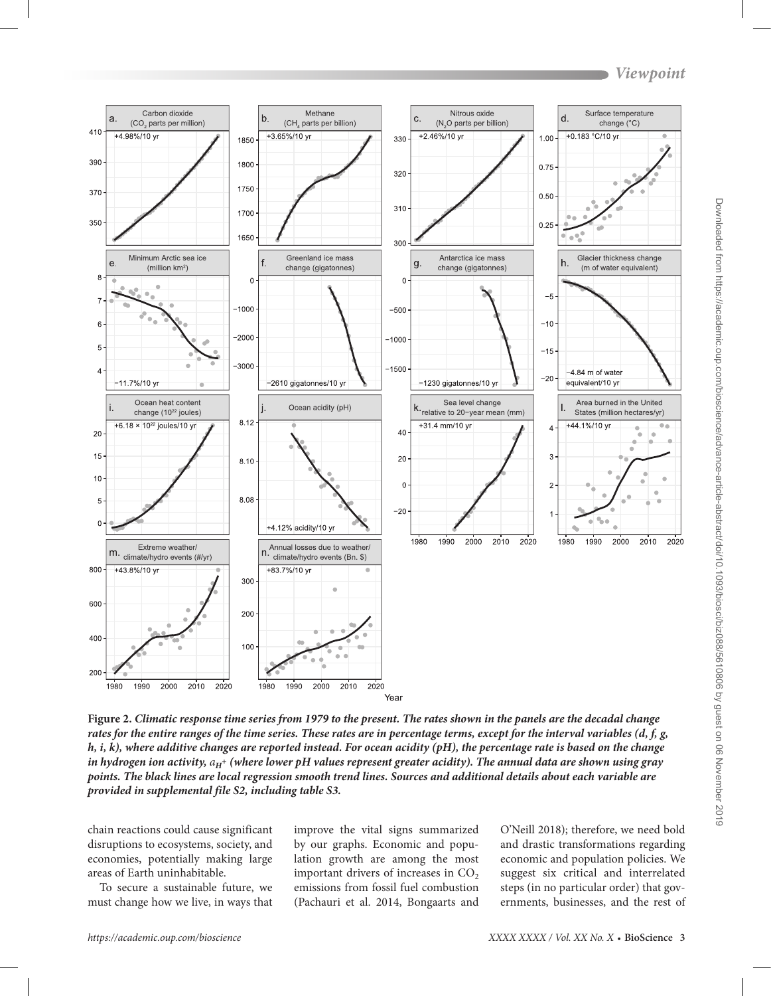

**Figure 2.** *Climatic response time series from 1979 to the present. The rates shown in the panels are the decadal change rates for the entire ranges of the time series. These rates are in percentage terms, except for the interval variables (d, f, g, h, i, k), where additive changes are reported instead. For ocean acidity (pH), the percentage rate is based on the change in hydrogen ion activity,*  $a_H$ *<sup>+</sup> (where lower pH values represent greater acidity). The annual data are shown using gray points. The black lines are local regression smooth trend lines. Sources and additional details about each variable are provided in supplemental file S2, including table S3.*

chain reactions could cause significant disruptions to ecosystems, society, and economies, potentially making large areas of Earth uninhabitable.

To secure a sustainable future, we must change how we live, in ways that

improve the vital signs summarized by our graphs. Economic and population growth are among the most important drivers of increases in  $CO<sub>2</sub>$ emissions from fossil fuel combustion (Pachauri et al. 2014, Bongaarts and

O'Neill 2018); therefore, we need bold and drastic transformations regarding economic and population policies. We suggest six critical and interrelated steps (in no particular order) that governments, businesses, and the rest of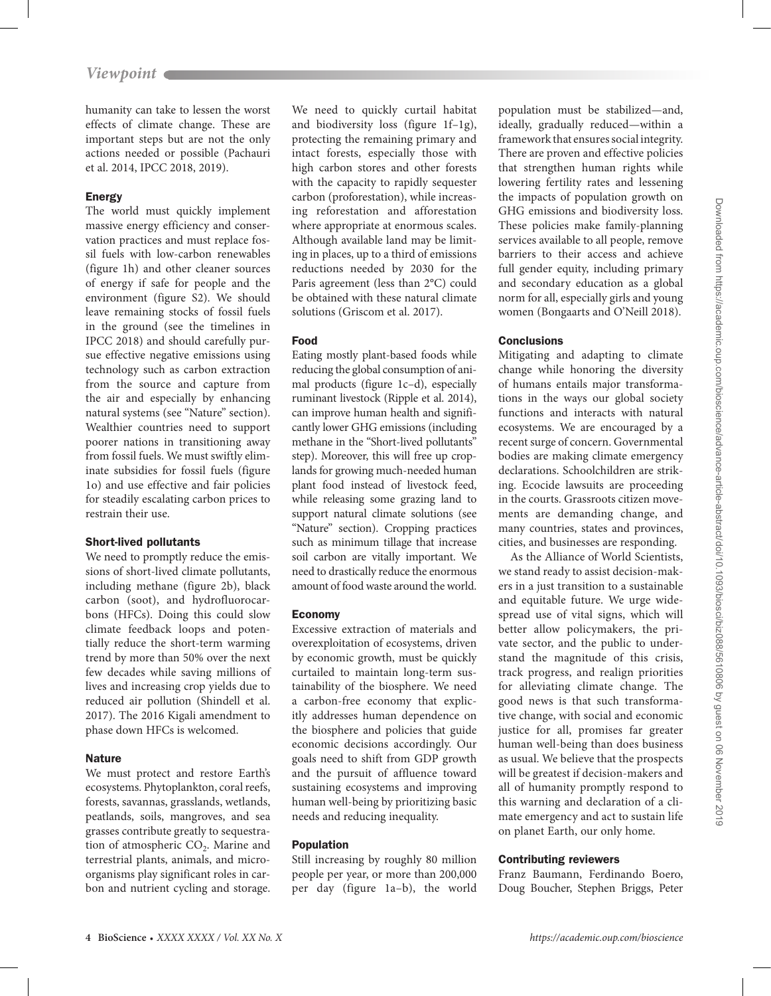humanity can take to lessen the worst effects of climate change. These are important steps but are not the only actions needed or possible (Pachauri et al. 2014, IPCC 2018, 2019).

## Energy

The world must quickly implement massive energy efficiency and conservation practices and must replace fossil fuels with low-carbon renewables (figure 1h) and other cleaner sources of energy if safe for people and the environment (figure S2). We should leave remaining stocks of fossil fuels in the ground (see the timelines in IPCC 2018) and should carefully pursue effective negative emissions using technology such as carbon extraction from the source and capture from the air and especially by enhancing natural systems (see "Nature" section). Wealthier countries need to support poorer nations in transitioning away from fossil fuels. We must swiftly eliminate subsidies for fossil fuels (figure 1o) and use effective and fair policies for steadily escalating carbon prices to restrain their use.

## Short-lived pollutants

We need to promptly reduce the emissions of short-lived climate pollutants, including methane (figure 2b), black carbon (soot), and hydrofluorocarbons (HFCs). Doing this could slow climate feedback loops and potentially reduce the short-term warming trend by more than 50% over the next few decades while saving millions of lives and increasing crop yields due to reduced air pollution (Shindell et al. 2017). The 2016 Kigali amendment to phase down HFCs is welcomed.

## **Nature**

We must protect and restore Earth's ecosystems. Phytoplankton, coral reefs, forests, savannas, grasslands, wetlands, peatlands, soils, mangroves, and sea grasses contribute greatly to sequestration of atmospheric  $CO<sub>2</sub>$ . Marine and terrestrial plants, animals, and microorganisms play significant roles in carbon and nutrient cycling and storage.

We need to quickly curtail habitat and biodiversity loss (figure 1f–1g), protecting the remaining primary and intact forests, especially those with high carbon stores and other forests with the capacity to rapidly sequester carbon (proforestation), while increasing reforestation and afforestation where appropriate at enormous scales. Although available land may be limiting in places, up to a third of emissions reductions needed by 2030 for the Paris agreement (less than 2°C) could be obtained with these natural climate solutions (Griscom et al. 2017).

# Food

Eating mostly plant-based foods while reducing the global consumption of animal products (figure 1c–d), especially ruminant livestock (Ripple et al. 2014), can improve human health and significantly lower GHG emissions (including methane in the "Short-lived pollutants" step). Moreover, this will free up croplands for growing much-needed human plant food instead of livestock feed, while releasing some grazing land to support natural climate solutions (see "Nature" section). Cropping practices such as minimum tillage that increase soil carbon are vitally important. We need to drastically reduce the enormous amount of food waste around the world.

# Economy

Excessive extraction of materials and overexploitation of ecosystems, driven by economic growth, must be quickly curtailed to maintain long-term sustainability of the biosphere. We need a carbon-free economy that explicitly addresses human dependence on the biosphere and policies that guide economic decisions accordingly. Our goals need to shift from GDP growth and the pursuit of affluence toward sustaining ecosystems and improving human well-being by prioritizing basic needs and reducing inequality.

# Population

Still increasing by roughly 80 million people per year, or more than 200,000 per day (figure 1a–b), the world

population must be stabilized—and, ideally, gradually reduced—within a framework that ensures social integrity. There are proven and effective policies that strengthen human rights while lowering fertility rates and lessening the impacts of population growth on GHG emissions and biodiversity loss. These policies make family-planning services available to all people, remove barriers to their access and achieve full gender equity, including primary and secondary education as a global norm for all, especially girls and young women (Bongaarts and O'Neill 2018).

# **Conclusions**

Mitigating and adapting to climate change while honoring the diversity of humans entails major transformations in the ways our global society functions and interacts with natural ecosystems. We are encouraged by a recent surge of concern. Governmental bodies are making climate emergency declarations. Schoolchildren are striking. Ecocide lawsuits are proceeding in the courts. Grassroots citizen movements are demanding change, and many countries, states and provinces, cities, and businesses are responding.

As the Alliance of World Scientists, we stand ready to assist decision-makers in a just transition to a sustainable and equitable future. We urge widespread use of vital signs, which will better allow policymakers, the private sector, and the public to understand the magnitude of this crisis, track progress, and realign priorities for alleviating climate change. The good news is that such transformative change, with social and economic justice for all, promises far greater human well-being than does business as usual. We believe that the prospects will be greatest if decision-makers and all of humanity promptly respond to this warning and declaration of a climate emergency and act to sustain life on planet Earth, our only home.

# Contributing reviewers

Franz Baumann, Ferdinando Boero, Doug Boucher, Stephen Briggs, Peter